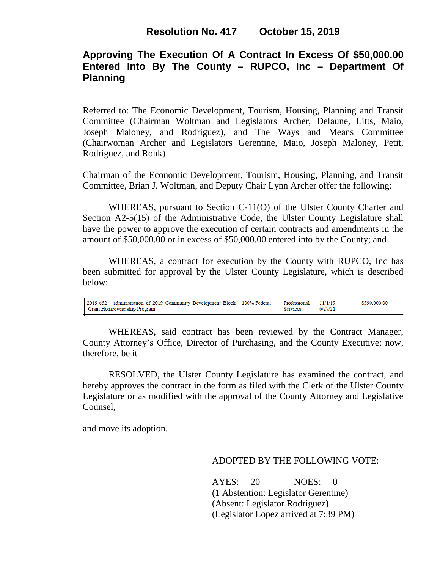# **Approving The Execution Of A Contract In Excess Of \$50,000.00 Entered Into By The County – RUPCO, Inc – Department Of Planning**

Referred to: The Economic Development, Tourism, Housing, Planning and Transit Committee (Chairman Woltman and Legislators Archer, Delaune, Litts, Maio, Joseph Maloney, and Rodriguez), and The Ways and Means Committee (Chairwoman Archer and Legislators Gerentine, Maio, Joseph Maloney, Petit, Rodriguez, and Ronk)

Chairman of the Economic Development, Tourism, Housing, Planning, and Transit Committee, Brian J. Woltman, and Deputy Chair Lynn Archer offer the following:

WHEREAS, pursuant to Section C-11(O) of the Ulster County Charter and Section A2-5(15) of the Administrative Code, the Ulster County Legislature shall have the power to approve the execution of certain contracts and amendments in the amount of \$50,000.00 or in excess of \$50,000.00 entered into by the County; and

WHEREAS, a contract for execution by the County with RUPCO, Inc has been submitted for approval by the Ulster County Legislature, which is described below:

|  | 2019-652 - administration of 2019 Community Development Block 200% Federal<br>Grant Homeownership Program |  | Professional<br><b>Services</b> | 11/1/19<br>6/27/21 | \$590,000.00 |
|--|-----------------------------------------------------------------------------------------------------------|--|---------------------------------|--------------------|--------------|
|--|-----------------------------------------------------------------------------------------------------------|--|---------------------------------|--------------------|--------------|

WHEREAS, said contract has been reviewed by the Contract Manager, County Attorney's Office, Director of Purchasing, and the County Executive; now, therefore, be it

RESOLVED, the Ulster County Legislature has examined the contract, and hereby approves the contract in the form as filed with the Clerk of the Ulster County Legislature or as modified with the approval of the County Attorney and Legislative Counsel,

and move its adoption.

#### ADOPTED BY THE FOLLOWING VOTE:

AYES: 20 NOES: 0 (1 Abstention: Legislator Gerentine) (Absent: Legislator Rodriguez) (Legislator Lopez arrived at 7:39 PM)